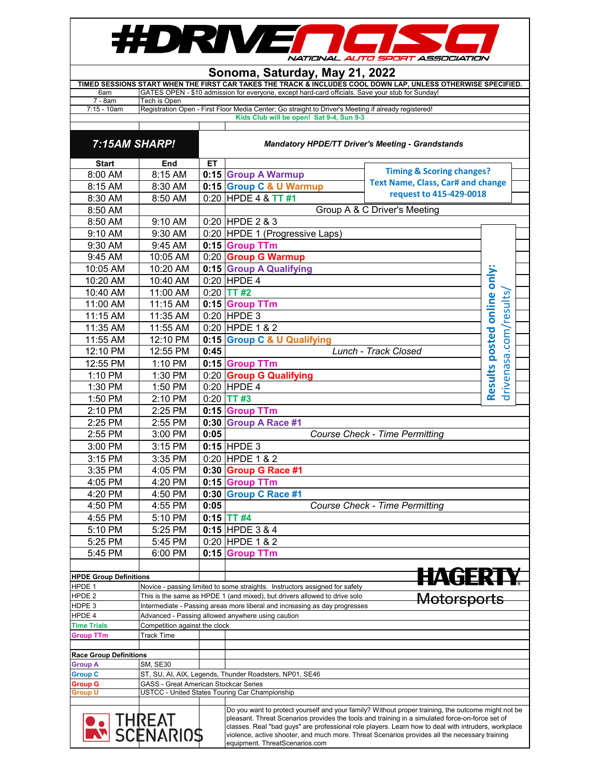

## **Sonoma, Saturday, May 21, 2022**

|                | TIMED SESSIONS START WHEN THE FIRST CAR TAKES THE TRACK & INCLUDES COOL DOWN LAP. UNLESS OTHERWISE SPECIFIED. |
|----------------|---------------------------------------------------------------------------------------------------------------|
| 6am            | GATES OPEN - \$10 admission for everyone, except hard-card officials. Save your stub for Sunday!              |
| 7 - 8am        | Tech is Open                                                                                                  |
| $7:15 - 10$ am | Registration Open - First Floor Media Center; Go straight to Driver's Meeting if already registered!          |
|                | Kids Club will be open! Sat 9-4, Sun 9-3                                                                      |

| 7:15AM SHARP!                 |                                                                                                                                                                        | <b>Mandatory HPDE/TT Driver's Meeting - Grandstands</b> |                                                                             |                                          |                                                                                                                                                                                                                                                                                                                                                                                                               |                                                      |
|-------------------------------|------------------------------------------------------------------------------------------------------------------------------------------------------------------------|---------------------------------------------------------|-----------------------------------------------------------------------------|------------------------------------------|---------------------------------------------------------------------------------------------------------------------------------------------------------------------------------------------------------------------------------------------------------------------------------------------------------------------------------------------------------------------------------------------------------------|------------------------------------------------------|
| <b>Start</b>                  | End                                                                                                                                                                    | ET.                                                     |                                                                             |                                          |                                                                                                                                                                                                                                                                                                                                                                                                               |                                                      |
| 8:00 AM                       | 8:15 AM                                                                                                                                                                |                                                         | <b>Timing &amp; Scoring changes?</b><br>0:15 Group A Warmup                 |                                          |                                                                                                                                                                                                                                                                                                                                                                                                               |                                                      |
| 8:15 AM                       | 8:30 AM                                                                                                                                                                |                                                         | 0:15 Group C & U Warmup                                                     | <b>Text Name, Class, Car# and change</b> |                                                                                                                                                                                                                                                                                                                                                                                                               |                                                      |
| 8:30 AM                       | 8:50 AM                                                                                                                                                                |                                                         | $0:20$ HPDE 4 & TT #1                                                       |                                          | request to 415-429-0018                                                                                                                                                                                                                                                                                                                                                                                       |                                                      |
| 8:50 AM                       |                                                                                                                                                                        |                                                         |                                                                             |                                          | Group A & C Driver's Meeting                                                                                                                                                                                                                                                                                                                                                                                  |                                                      |
| 8:50 AM                       | 9:10 AM                                                                                                                                                                |                                                         | 0:20 HPDE 2 & 3                                                             |                                          |                                                                                                                                                                                                                                                                                                                                                                                                               |                                                      |
| 9:10 AM                       | 9:30 AM                                                                                                                                                                |                                                         | 0:20 HPDE 1 (Progressive Laps)                                              |                                          |                                                                                                                                                                                                                                                                                                                                                                                                               |                                                      |
| 9:30 AM                       | 9:45 AM                                                                                                                                                                |                                                         | 0:15 Group TTm                                                              |                                          |                                                                                                                                                                                                                                                                                                                                                                                                               |                                                      |
| 9:45 AM                       | 10:05 AM                                                                                                                                                               |                                                         | 0:20 Group G Warmup                                                         |                                          |                                                                                                                                                                                                                                                                                                                                                                                                               |                                                      |
| 10:05 AM                      | 10:20 AM                                                                                                                                                               |                                                         | 0:15 Group A Qualifying                                                     |                                          |                                                                                                                                                                                                                                                                                                                                                                                                               |                                                      |
| 10:20 AM                      | 10:40 AM                                                                                                                                                               |                                                         | $0:20$ HPDE 4                                                               |                                          |                                                                                                                                                                                                                                                                                                                                                                                                               |                                                      |
| 10:40 AM                      | 11:00 AM                                                                                                                                                               |                                                         | $0:20$ TT #2                                                                |                                          |                                                                                                                                                                                                                                                                                                                                                                                                               |                                                      |
| 11:00 AM                      | 11:15 AM                                                                                                                                                               |                                                         | 0:15 Group TTm                                                              |                                          |                                                                                                                                                                                                                                                                                                                                                                                                               |                                                      |
| 11:15 AM                      | 11:35 AM                                                                                                                                                               |                                                         | $0:20$ HPDE 3                                                               |                                          |                                                                                                                                                                                                                                                                                                                                                                                                               |                                                      |
| 11:35 AM                      | 11:55 AM                                                                                                                                                               |                                                         | 0:20 HPDE 1 & 2                                                             |                                          |                                                                                                                                                                                                                                                                                                                                                                                                               |                                                      |
| 11:55 AM                      | 12:10 PM                                                                                                                                                               |                                                         | 0:15 Group C & U Qualifying                                                 |                                          |                                                                                                                                                                                                                                                                                                                                                                                                               |                                                      |
| 12:10 PM                      | 12:55 PM                                                                                                                                                               | 0:45                                                    |                                                                             |                                          | Lunch - Track Closed                                                                                                                                                                                                                                                                                                                                                                                          | Results posted online only:<br>drivenasa.com/results |
| 12:55 PM                      | 1:10 PM                                                                                                                                                                |                                                         | 0:15 Group TTm                                                              |                                          |                                                                                                                                                                                                                                                                                                                                                                                                               |                                                      |
| 1:10 PM                       | 1:30 PM                                                                                                                                                                |                                                         | 0:20 Group G Qualifying                                                     |                                          |                                                                                                                                                                                                                                                                                                                                                                                                               |                                                      |
| 1:30 PM                       | 1:50 PM                                                                                                                                                                |                                                         | $0:20$ HPDE 4                                                               |                                          |                                                                                                                                                                                                                                                                                                                                                                                                               |                                                      |
| 1:50 PM                       | 2:10 PM                                                                                                                                                                |                                                         | $0:20$ TT#3                                                                 |                                          |                                                                                                                                                                                                                                                                                                                                                                                                               |                                                      |
| 2:10 PM                       | 2:25 PM                                                                                                                                                                |                                                         | 0:15 Group TTm                                                              |                                          |                                                                                                                                                                                                                                                                                                                                                                                                               |                                                      |
| 2:25 PM                       | 2:55 PM                                                                                                                                                                |                                                         | 0:30 Group A Race #1                                                        |                                          |                                                                                                                                                                                                                                                                                                                                                                                                               |                                                      |
| 2:55 PM                       | 3:00 PM                                                                                                                                                                | 0:05                                                    |                                                                             |                                          | <b>Course Check - Time Permitting</b>                                                                                                                                                                                                                                                                                                                                                                         |                                                      |
| 3:00 PM                       | 3:15 PM                                                                                                                                                                |                                                         | $0:15$ HPDE 3                                                               |                                          |                                                                                                                                                                                                                                                                                                                                                                                                               |                                                      |
| 3:15 PM                       | 3:35 PM                                                                                                                                                                |                                                         | 0:20 HPDE 1 & 2                                                             |                                          |                                                                                                                                                                                                                                                                                                                                                                                                               |                                                      |
| 3:35 PM                       | 4:05 PM                                                                                                                                                                |                                                         | 0:30 Group G Race #1                                                        |                                          |                                                                                                                                                                                                                                                                                                                                                                                                               |                                                      |
| 4:05 PM                       | 4:20 PM                                                                                                                                                                |                                                         | 0:15 Group TTm                                                              |                                          |                                                                                                                                                                                                                                                                                                                                                                                                               |                                                      |
| 4:20 PM                       | 4:50 PM                                                                                                                                                                |                                                         | 0:30 Group C Race #1                                                        |                                          |                                                                                                                                                                                                                                                                                                                                                                                                               |                                                      |
| 4:50 PM                       | 4:55 PM                                                                                                                                                                | 0:05                                                    |                                                                             |                                          | <b>Course Check - Time Permitting</b>                                                                                                                                                                                                                                                                                                                                                                         |                                                      |
| 4:55 PM                       | 5:10 PM                                                                                                                                                                |                                                         | $0:15$ TT #4                                                                |                                          |                                                                                                                                                                                                                                                                                                                                                                                                               |                                                      |
| 5:10 PM                       | 5:25 PM                                                                                                                                                                |                                                         | 0:15 HPDE 3 & 4                                                             |                                          |                                                                                                                                                                                                                                                                                                                                                                                                               |                                                      |
| 5:25 PM                       | 5:45 PM                                                                                                                                                                |                                                         | 0:20 HPDE 1 & 2                                                             |                                          |                                                                                                                                                                                                                                                                                                                                                                                                               |                                                      |
| 5:45 PM                       | 6:00 PM                                                                                                                                                                |                                                         | 0:15 Group TTm                                                              |                                          |                                                                                                                                                                                                                                                                                                                                                                                                               |                                                      |
|                               |                                                                                                                                                                        |                                                         |                                                                             |                                          |                                                                                                                                                                                                                                                                                                                                                                                                               |                                                      |
| <b>HPDE Group Definitions</b> |                                                                                                                                                                        |                                                         |                                                                             |                                          | <b>IAGERTY</b>                                                                                                                                                                                                                                                                                                                                                                                                |                                                      |
| HPDE 1<br>HPDE 2              |                                                                                                                                                                        |                                                         | Novice - passing limited to some straights. Instructors assigned for safety |                                          |                                                                                                                                                                                                                                                                                                                                                                                                               |                                                      |
| HDPE 3                        | This is the same as HPDE 1 (and mixed), but drivers allowed to drive solo<br>Motorsports<br>Intermediate - Passing areas more liberal and increasing as day progresses |                                                         |                                                                             |                                          |                                                                                                                                                                                                                                                                                                                                                                                                               |                                                      |
| HPDE 4                        |                                                                                                                                                                        |                                                         | Advanced - Passing allowed anywhere using caution                           |                                          |                                                                                                                                                                                                                                                                                                                                                                                                               |                                                      |
| Time Trials                   | Competition against the clock                                                                                                                                          |                                                         |                                                                             |                                          |                                                                                                                                                                                                                                                                                                                                                                                                               |                                                      |
| <b>Group TTm</b>              | <b>Track Time</b>                                                                                                                                                      |                                                         |                                                                             |                                          |                                                                                                                                                                                                                                                                                                                                                                                                               |                                                      |
| <b>Race Group Definitions</b> |                                                                                                                                                                        |                                                         |                                                                             |                                          |                                                                                                                                                                                                                                                                                                                                                                                                               |                                                      |
| <b>Group A</b>                | SM, SE30                                                                                                                                                               |                                                         |                                                                             |                                          |                                                                                                                                                                                                                                                                                                                                                                                                               |                                                      |
| <b>Group C</b>                |                                                                                                                                                                        |                                                         | ST, SU, AI, AIX, Legends, Thunder Roadsters, NP01, SE46                     |                                          |                                                                                                                                                                                                                                                                                                                                                                                                               |                                                      |
| <b>Group G</b><br>Group U     | GASS - Great American Stockcar Series                                                                                                                                  |                                                         | USTCC - United States Touring Car Championship                              |                                          |                                                                                                                                                                                                                                                                                                                                                                                                               |                                                      |
|                               |                                                                                                                                                                        |                                                         |                                                                             |                                          |                                                                                                                                                                                                                                                                                                                                                                                                               |                                                      |
|                               | <b>THREAT</b><br>SCENARIOS                                                                                                                                             |                                                         | equipment. ThreatScenarios.com                                              |                                          | Do you want to protect yourself and your family? Without proper training, the outcome might not be<br>pleasant. Threat Scenarios provides the tools and training in a simulated force-on-force set of<br>classes. Real "bad guys" are professional role players. Learn how to deal with intruders, workplace<br>violence, active shooter, and much more. Threat Scenarios provides all the necessary training |                                                      |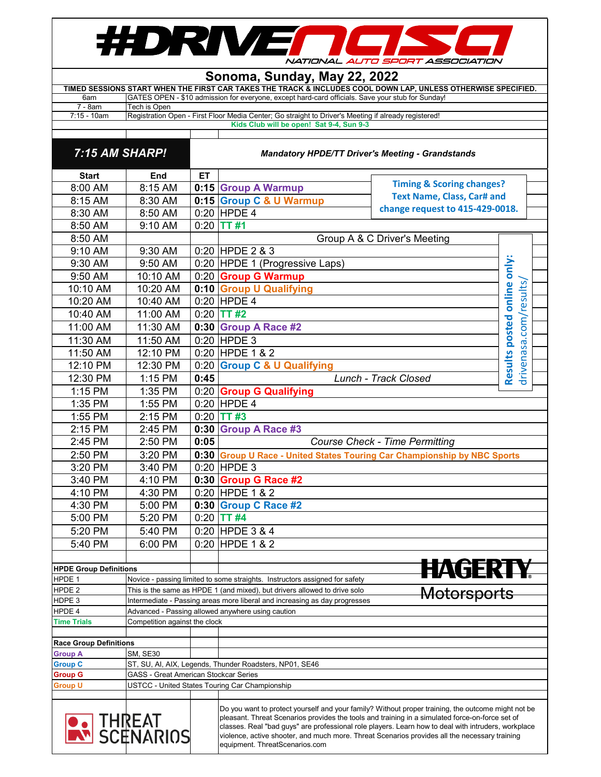## #DRIVE  $\blacksquare$ NATIONAL AUTO SPORT ASSOCIATION

## **Sonoma, Sunday, May 22, 2022**

|             | TIMED SESSIONS START WHEN THE FIRST CAR TAKES THE TRACK & INCLUDES COOL DOWN LAP. UNLESS OTHERWISE SPECIFIED. |
|-------------|---------------------------------------------------------------------------------------------------------------|
| 6am         | GATES OPEN - \$10 admission for everyone, except hard-card officials. Save your stub for Sunday!              |
| 7 - 8am     | Tech is Open                                                                                                  |
| 7:15 - 10am | Registration Open - First Floor Media Center; Go straight to Driver's Meeting if already registered!          |
|             | Kids Club will be open! Sat 9-4, Sun 9-3                                                                      |
|             |                                                                                                               |

| 7:15 AM SHARP!                |                                              | <b>Mandatory HPDE/TT Driver's Meeting - Grandstands</b>                   |                                                                                                                                                                                                                                                                                                                                                                                                                                                 |                              |                                                      |  |  |
|-------------------------------|----------------------------------------------|---------------------------------------------------------------------------|-------------------------------------------------------------------------------------------------------------------------------------------------------------------------------------------------------------------------------------------------------------------------------------------------------------------------------------------------------------------------------------------------------------------------------------------------|------------------------------|------------------------------------------------------|--|--|
| <b>Start</b>                  | End                                          | ET                                                                        |                                                                                                                                                                                                                                                                                                                                                                                                                                                 |                              |                                                      |  |  |
| 8:00 AM                       | 8:15 AM                                      |                                                                           | <b>Timing &amp; Scoring changes?</b><br>0:15 Group A Warmup                                                                                                                                                                                                                                                                                                                                                                                     |                              |                                                      |  |  |
| 8:15 AM                       | 8:30 AM                                      |                                                                           | <b>Text Name, Class, Car# and</b><br>0:15 Group C & U Warmup                                                                                                                                                                                                                                                                                                                                                                                    |                              |                                                      |  |  |
| 8:30 AM                       | 8:50 AM                                      |                                                                           | change request to 415-429-0018.<br>$0:20$ HPDE 4                                                                                                                                                                                                                                                                                                                                                                                                |                              |                                                      |  |  |
| 8:50 AM                       | 9:10 AM                                      |                                                                           | $0:20$ TT #1                                                                                                                                                                                                                                                                                                                                                                                                                                    |                              |                                                      |  |  |
| 8:50 AM                       |                                              |                                                                           |                                                                                                                                                                                                                                                                                                                                                                                                                                                 | Group A & C Driver's Meeting |                                                      |  |  |
| 9:10 AM                       | 9:30 AM                                      |                                                                           | 0:20 HPDE 2 & 3                                                                                                                                                                                                                                                                                                                                                                                                                                 |                              |                                                      |  |  |
| 9:30 AM                       | 9:50 AM                                      |                                                                           | 0:20 HPDE 1 (Progressive Laps)                                                                                                                                                                                                                                                                                                                                                                                                                  |                              |                                                      |  |  |
| 9:50 AM                       | 10:10 AM                                     |                                                                           | 0:20 Group G Warmup                                                                                                                                                                                                                                                                                                                                                                                                                             |                              |                                                      |  |  |
| 10:10 AM                      | 10:20 AM                                     |                                                                           | 0:10 Group U Qualifying                                                                                                                                                                                                                                                                                                                                                                                                                         |                              |                                                      |  |  |
| 10:20 AM                      | 10:40 AM                                     |                                                                           | $0:20$ HPDE 4                                                                                                                                                                                                                                                                                                                                                                                                                                   |                              | Results posted online only:<br>drivenasa.com/results |  |  |
| 10:40 AM                      | 11:00 AM                                     |                                                                           | $0:20$ TT #2                                                                                                                                                                                                                                                                                                                                                                                                                                    |                              |                                                      |  |  |
| 11:00 AM                      | 11:30 AM                                     |                                                                           | 0:30 Group A Race #2                                                                                                                                                                                                                                                                                                                                                                                                                            |                              |                                                      |  |  |
| 11:30 AM                      | 11:50 AM                                     |                                                                           | 0:20 HPDE 3                                                                                                                                                                                                                                                                                                                                                                                                                                     |                              |                                                      |  |  |
|                               |                                              |                                                                           |                                                                                                                                                                                                                                                                                                                                                                                                                                                 |                              |                                                      |  |  |
| 11:50 AM                      | 12:10 PM                                     |                                                                           | 0:20 HPDE 1 & 2                                                                                                                                                                                                                                                                                                                                                                                                                                 |                              |                                                      |  |  |
| 12:10 PM                      | 12:30 PM                                     |                                                                           | 0:20 Group C & U Qualifying                                                                                                                                                                                                                                                                                                                                                                                                                     |                              |                                                      |  |  |
| 12:30 PM                      | 1:15 PM                                      | 0:45                                                                      |                                                                                                                                                                                                                                                                                                                                                                                                                                                 | Lunch - Track Closed         |                                                      |  |  |
| 1:15 PM                       | 1:35 PM                                      |                                                                           | 0:20 Group G Qualifying                                                                                                                                                                                                                                                                                                                                                                                                                         |                              |                                                      |  |  |
| 1:35 PM                       | 1:55 PM                                      |                                                                           | $0:20$ HPDE 4                                                                                                                                                                                                                                                                                                                                                                                                                                   |                              |                                                      |  |  |
| 1:55 PM                       | 2:15 PM                                      |                                                                           | $0:20$ TT #3                                                                                                                                                                                                                                                                                                                                                                                                                                    |                              |                                                      |  |  |
| 2:15 PM                       | 2:45 PM                                      |                                                                           | 0:30 Group A Race #3                                                                                                                                                                                                                                                                                                                                                                                                                            |                              |                                                      |  |  |
| 2:45 PM                       | 2:50 PM                                      | 0:05                                                                      | <b>Course Check - Time Permitting</b>                                                                                                                                                                                                                                                                                                                                                                                                           |                              |                                                      |  |  |
| 2:50 PM                       | 3:20 PM                                      |                                                                           | 0:30 Group U Race - United States Touring Car Championship by NBC Sports                                                                                                                                                                                                                                                                                                                                                                        |                              |                                                      |  |  |
| 3:20 PM                       | 3:40 PM                                      |                                                                           | $0:20$ HPDE 3                                                                                                                                                                                                                                                                                                                                                                                                                                   |                              |                                                      |  |  |
| 3:40 PM                       | 4:10 PM                                      |                                                                           | 0:30 Group G Race #2                                                                                                                                                                                                                                                                                                                                                                                                                            |                              |                                                      |  |  |
| 4:10 PM                       | 4:30 PM                                      |                                                                           | 0:20 HPDE 1 & 2                                                                                                                                                                                                                                                                                                                                                                                                                                 |                              |                                                      |  |  |
| 4:30 PM                       | 5:00 PM                                      |                                                                           | 0:30 Group C Race #2                                                                                                                                                                                                                                                                                                                                                                                                                            |                              |                                                      |  |  |
| 5:00 PM                       | 5:20 PM                                      |                                                                           | $0:20$ TT #4                                                                                                                                                                                                                                                                                                                                                                                                                                    |                              |                                                      |  |  |
| 5:20 PM                       | 5:40 PM                                      |                                                                           | 0:20 HPDE 3 & 4                                                                                                                                                                                                                                                                                                                                                                                                                                 |                              |                                                      |  |  |
| 5:40 PM                       | 6:00 PM                                      |                                                                           | 0:20 HPDE 1 & 2                                                                                                                                                                                                                                                                                                                                                                                                                                 |                              |                                                      |  |  |
|                               |                                              |                                                                           |                                                                                                                                                                                                                                                                                                                                                                                                                                                 |                              |                                                      |  |  |
| <b>HPDE Group Definitions</b> |                                              |                                                                           |                                                                                                                                                                                                                                                                                                                                                                                                                                                 | HAGER                        |                                                      |  |  |
| HPDE 1                        |                                              |                                                                           | Novice - passing limited to some straights. Instructors assigned for safety                                                                                                                                                                                                                                                                                                                                                                     |                              |                                                      |  |  |
| HPDE 2                        |                                              | This is the same as HPDE 1 (and mixed), but drivers allowed to drive solo |                                                                                                                                                                                                                                                                                                                                                                                                                                                 | <b>Motorsports</b>           |                                                      |  |  |
| HDPE <sub>3</sub>             |                                              |                                                                           | Intermediate - Passing areas more liberal and increasing as day progresses                                                                                                                                                                                                                                                                                                                                                                      |                              |                                                      |  |  |
| HPDE 4<br>Time Trials         | Competition against the clock                |                                                                           | Advanced - Passing allowed anywhere using caution                                                                                                                                                                                                                                                                                                                                                                                               |                              |                                                      |  |  |
|                               |                                              |                                                                           |                                                                                                                                                                                                                                                                                                                                                                                                                                                 |                              |                                                      |  |  |
| <b>Race Group Definitions</b> |                                              |                                                                           |                                                                                                                                                                                                                                                                                                                                                                                                                                                 |                              |                                                      |  |  |
| <b>Group A</b>                | <b>SM, SE30</b>                              |                                                                           |                                                                                                                                                                                                                                                                                                                                                                                                                                                 |                              |                                                      |  |  |
| <b>Group C</b>                |                                              |                                                                           | ST, SU, AI, AIX, Legends, Thunder Roadsters, NP01, SE46                                                                                                                                                                                                                                                                                                                                                                                         |                              |                                                      |  |  |
| <b>Group G</b>                | <b>GASS - Great American Stockcar Series</b> |                                                                           |                                                                                                                                                                                                                                                                                                                                                                                                                                                 |                              |                                                      |  |  |
| <b>Group U</b>                |                                              |                                                                           | USTCC - United States Touring Car Championship                                                                                                                                                                                                                                                                                                                                                                                                  |                              |                                                      |  |  |
|                               | <b>THREAT</b><br>WISCENARIOS                 |                                                                           | Do you want to protect yourself and your family? Without proper training, the outcome might not be<br>pleasant. Threat Scenarios provides the tools and training in a simulated force-on-force set of<br>classes. Real "bad guys" are professional role players. Learn how to deal with intruders, workplace<br>violence, active shooter, and much more. Threat Scenarios provides all the necessary training<br>equipment. ThreatScenarios.com |                              |                                                      |  |  |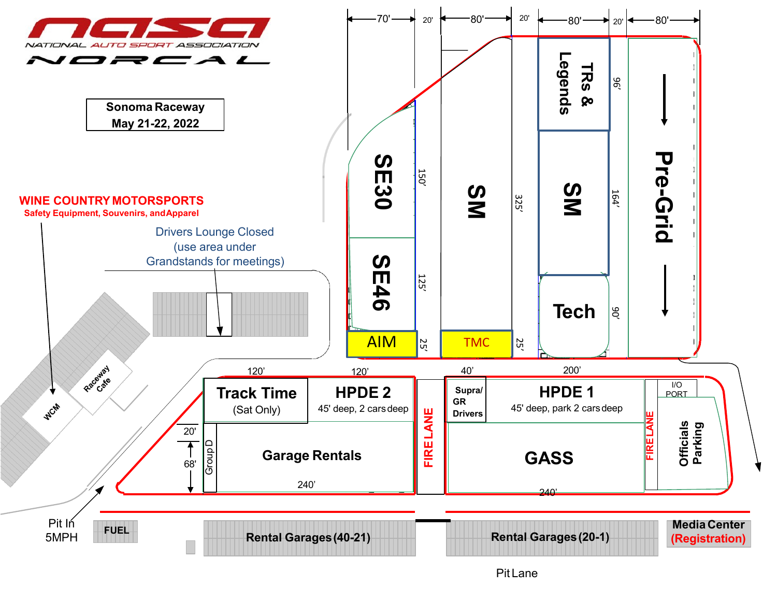